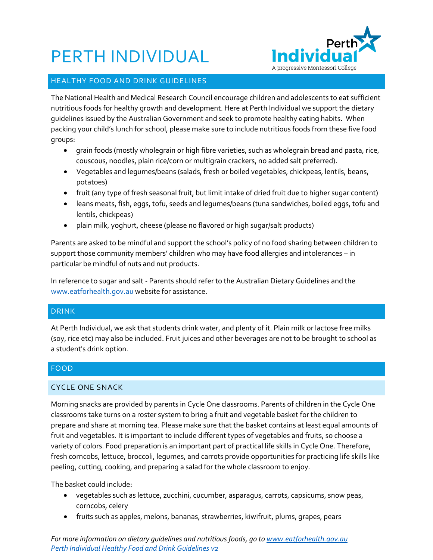# PERTH INDIVIDUAL



## HEALTHY FOOD AND DRINK GUIDELINES

The National Health and Medical Research Council encourage children and adolescents to eat sufficient nutritious foods for healthy growth and development. Here at Perth Individual we support the dietary guidelines issued by the Australian Government and seek to promote healthy eating habits. When packing your child's lunch for school, please make sure to include nutritious foods from these five food groups:

- grain foods (mostly wholegrain or high fibre varieties, such as wholegrain bread and pasta, rice, couscous, noodles, plain rice/corn or multigrain crackers, no added salt preferred).
- Vegetables and legumes/beans (salads, fresh or boiled vegetables, chickpeas, lentils, beans, potatoes)
- fruit (any type of fresh seasonal fruit, but limit intake of dried fruit due to higher sugar content)
- leans meats, fish, eggs, tofu, seeds and legumes/beans (tuna sandwiches, boiled eggs, tofu and lentils, chickpeas)
- plain milk, yoghurt, cheese (please no flavored or high sugar/salt products)

Parents are asked to be mindful and support the school's policy of no food sharing between children to support those community members' children who may have food allergies and intolerances – in particular be mindful of nuts and nut products.

In reference to sugar and salt - Parents should refer to the Australian Dietary Guidelines and the [www.eatforhealth.gov.au](http://www.eatforhealth.gov.au/) website for assistance.

# DRINK

At Perth Individual, we ask that students drink water, and plenty of it. Plain milk or lactose free milks (soy, rice etc) may also be included. Fruit juices and other beverages are not to be brought to school as a student's drink option.

# FOOD

# CYCLE ONE SNACK

Morning snacks are provided by parents in Cycle One classrooms. Parents of children in the Cycle One classrooms take turns on a roster system to bring a fruit and vegetable basket for the children to prepare and share at morning tea. Please make sure that the basket contains at least equal amounts of fruit and vegetables. It is important to include different types of vegetables and fruits, so choose a variety of colors. Food preparation is an important part of practical life skills in Cycle One. Therefore, fresh corncobs, lettuce, broccoli, legumes, and carrots provide opportunities for practicing life skills like peeling, cutting, cooking, and preparing a salad for the whole classroom to enjoy.

The basket could include:

- vegetables such as lettuce, zucchini, cucumber, asparagus, carrots, capsicums, snow peas, corncobs, celery
- fruits such as apples, melons, bananas, strawberries, kiwifruit, plums, grapes, pears

*For more information on dietary guidelines and nutritious foods, go to [www.eatforhealth.gov.au](http://www.eatforhealth.gov.au/) Perth Individual Healthy Food and Drink Guidelines v2*